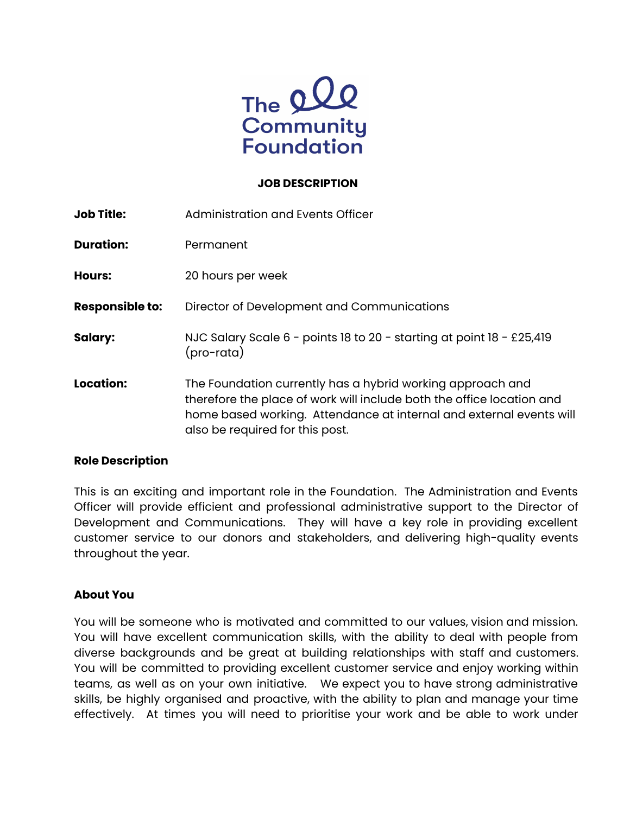

#### **JOB DESCRIPTION**

| <b>Job Title:</b>      | Administration and Events Officer                                                                                                                                                                                                             |  |
|------------------------|-----------------------------------------------------------------------------------------------------------------------------------------------------------------------------------------------------------------------------------------------|--|
| <b>Duration:</b>       | Permanent                                                                                                                                                                                                                                     |  |
| <b>Hours:</b>          | 20 hours per week                                                                                                                                                                                                                             |  |
| <b>Responsible to:</b> | Director of Development and Communications                                                                                                                                                                                                    |  |
| <b>Salary:</b>         | NJC Salary Scale 6 - points 18 to 20 - starting at point 18 - £25,419<br>(pro-rata)                                                                                                                                                           |  |
| <b>Location:</b>       | The Foundation currently has a hybrid working approach and<br>therefore the place of work will include both the office location and<br>home based working. Attendance at internal and external events will<br>also be required for this post. |  |

#### **Role Description**

This is an exciting and important role in the Foundation. The Administration and Events Officer will provide efficient and professional administrative support to the Director of Development and Communications. They will have a key role in providing excellent customer service to our donors and stakeholders, and delivering high-quality events throughout the year.

#### **About You**

You will be someone who is motivated and committed to our values, vision and mission. You will have excellent communication skills, with the ability to deal with people from diverse backgrounds and be great at building relationships with staff and customers. You will be committed to providing excellent customer service and enjoy working within teams, as well as on your own initiative. We expect you to have strong administrative skills, be highly organised and proactive, with the ability to plan and manage your time effectively. At times you will need to prioritise your work and be able to work under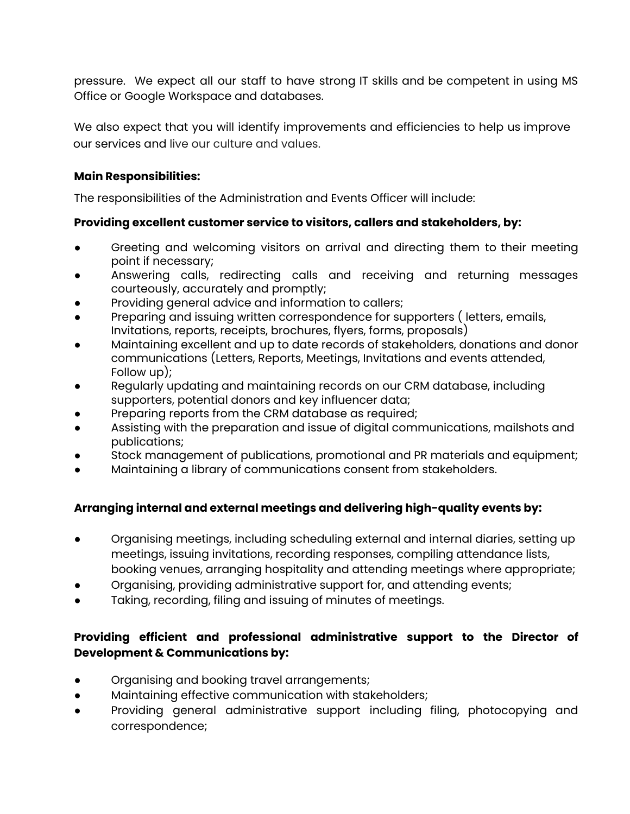pressure. We expect all our staff to have strong IT skills and be competent in using MS Office or Google Workspace and databases.

We also expect that you will identify improvements and efficiencies to help us improve our services and live our culture and values.

### **Main Responsibilities:**

The responsibilities of the Administration and Events Officer will include:

### **Providing excellent customer service to visitors, callers and stakeholders, by:**

- Greeting and welcoming visitors on arrival and directing them to their meeting point if necessary;
- Answering calls, redirecting calls and receiving and returning messages courteously, accurately and promptly;
- Providing general advice and information to callers;
- Preparing and issuing written correspondence for supporters (letters, emails, Invitations, reports, receipts, brochures, flyers, forms, proposals)
- Maintaining excellent and up to date records of stakeholders, donations and donor communications (Letters, Reports, Meetings, Invitations and events attended, Follow up);
- Regularly updating and maintaining records on our CRM database, including supporters, potential donors and key influencer data;
- Preparing reports from the CRM database as required;
- Assisting with the preparation and issue of digital communications, mailshots and publications;
- Stock management of publications, promotional and PR materials and equipment;
- Maintaining a library of communications consent from stakeholders.

# **Arranging internal and external meetings and delivering high-quality events by:**

- Organising meetings, including scheduling external and internal diaries, setting up meetings, issuing invitations, recording responses, compiling attendance lists, booking venues, arranging hospitality and attending meetings where appropriate;
- Organising, providing administrative support for, and attending events;
- Taking, recording, filing and issuing of minutes of meetings.

## **Providing efficient and professional administrative support to the Director of Development & Communications by:**

- Organising and booking travel arrangements;
- Maintaining effective communication with stakeholders;
- Providing general administrative support including filing, photocopying and correspondence;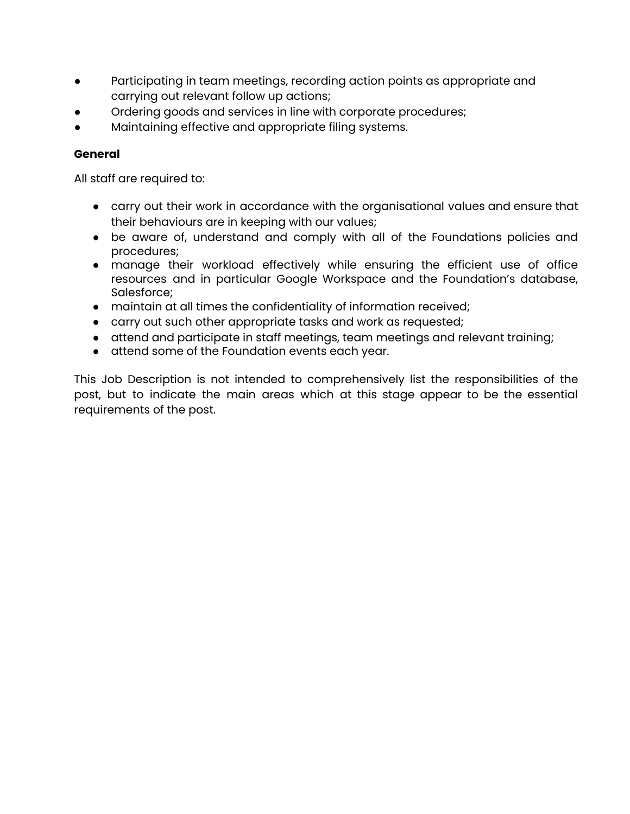- Participating in team meetings, recording action points as appropriate and carrying out relevant follow up actions;
- Ordering goods and services in line with corporate procedures;
- Maintaining effective and appropriate filing systems.

### **General**

All staff are required to:

- carry out their work in accordance with the organisational values and ensure that their behaviours are in keeping with our values;
- be aware of, understand and comply with all of the Foundations policies and procedures;
- manage their workload effectively while ensuring the efficient use of office resources and in particular Google Workspace and the Foundation's database, Salesforce;
- maintain at all times the confidentiality of information received;
- carry out such other appropriate tasks and work as requested;
- attend and participate in staff meetings, team meetings and relevant training;
- attend some of the Foundation events each year.

This Job Description is not intended to comprehensively list the responsibilities of the post, but to indicate the main areas which at this stage appear to be the essential requirements of the post.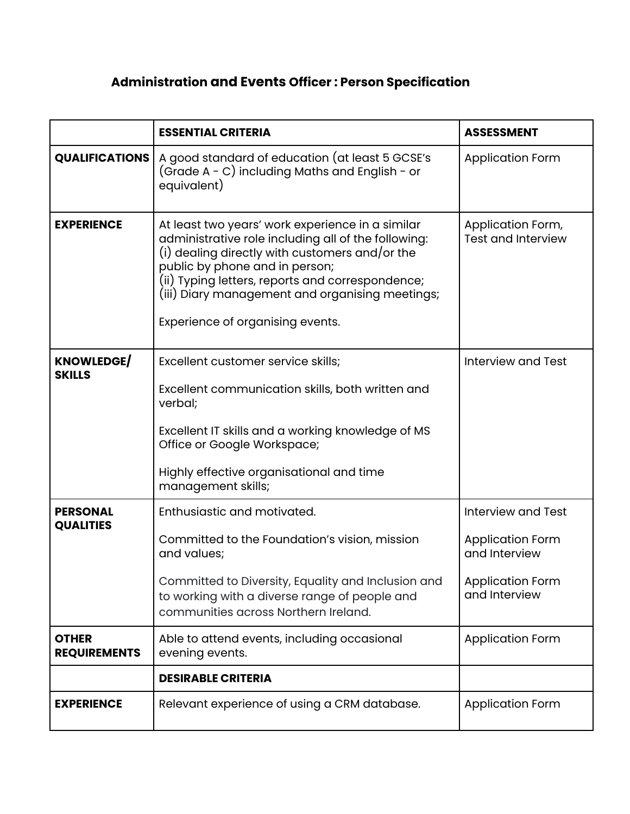# **Administration and Events Officer : Person Specification**

|                                     | <b>ESSENTIAL CRITERIA</b>                                                                                                                                                                                                                                                                                                              | <b>ASSESSMENT</b>                                                                                          |
|-------------------------------------|----------------------------------------------------------------------------------------------------------------------------------------------------------------------------------------------------------------------------------------------------------------------------------------------------------------------------------------|------------------------------------------------------------------------------------------------------------|
| <b>QUALIFICATIONS</b>               | A good standard of education (at least 5 GCSE's<br>(Grade A - C) including Maths and English - or<br>equivalent)                                                                                                                                                                                                                       | <b>Application Form</b>                                                                                    |
| <b>EXPERIENCE</b>                   | At least two years' work experience in a similar<br>administrative role including all of the following:<br>(i) dealing directly with customers and/or the<br>public by phone and in person;<br>(ii) Typing letters, reports and correspondence;<br>(iii) Diary management and organising meetings;<br>Experience of organising events. | Application Form,<br><b>Test and Interview</b>                                                             |
| <b>KNOWLEDGE/</b><br><b>SKILLS</b>  | Excellent customer service skills;<br>Excellent communication skills, both written and<br>verbal;<br>Excellent IT skills and a working knowledge of MS<br>Office or Google Workspace;<br>Highly effective organisational and time<br>management skills;                                                                                | <b>Interview and Test</b>                                                                                  |
| <b>PERSONAL</b><br><b>QUALITIES</b> | Enthusiastic and motivated.<br>Committed to the Foundation's vision, mission<br>and values;<br>Committed to Diversity, Equality and Inclusion and<br>to working with a diverse range of people and<br>communities across Northern Ireland.                                                                                             | <b>Interview and Test</b><br><b>Application Form</b><br>and Interview<br>Application Form<br>and Interview |
| <b>OTHER</b><br><b>REQUIREMENTS</b> | Able to attend events, including occasional<br>evening events.                                                                                                                                                                                                                                                                         | <b>Application Form</b>                                                                                    |
|                                     | <b>DESIRABLE CRITERIA</b>                                                                                                                                                                                                                                                                                                              |                                                                                                            |
| <b>EXPERIENCE</b>                   | Relevant experience of using a CRM database.                                                                                                                                                                                                                                                                                           | <b>Application Form</b>                                                                                    |